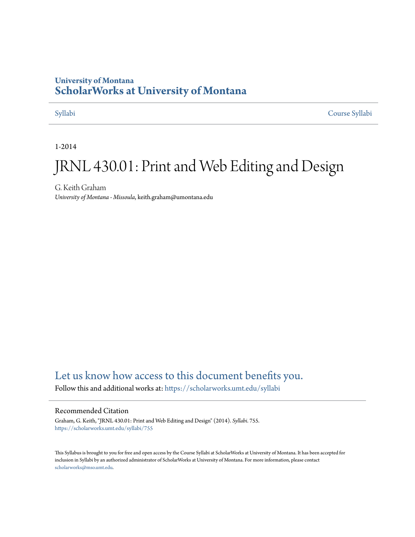## **University of Montana [ScholarWorks at University of Montana](https://scholarworks.umt.edu?utm_source=scholarworks.umt.edu%2Fsyllabi%2F755&utm_medium=PDF&utm_campaign=PDFCoverPages)**

[Syllabi](https://scholarworks.umt.edu/syllabi?utm_source=scholarworks.umt.edu%2Fsyllabi%2F755&utm_medium=PDF&utm_campaign=PDFCoverPages) [Course Syllabi](https://scholarworks.umt.edu/course_syllabi?utm_source=scholarworks.umt.edu%2Fsyllabi%2F755&utm_medium=PDF&utm_campaign=PDFCoverPages)

1-2014

# JRNL 430.01: Print and Web Editing and Design

G. Keith Graham *University of Montana - Missoula*, keith.graham@umontana.edu

## [Let us know how access to this document benefits you.](https://goo.gl/forms/s2rGfXOLzz71qgsB2)

Follow this and additional works at: [https://scholarworks.umt.edu/syllabi](https://scholarworks.umt.edu/syllabi?utm_source=scholarworks.umt.edu%2Fsyllabi%2F755&utm_medium=PDF&utm_campaign=PDFCoverPages)

## Recommended Citation

Graham, G. Keith, "JRNL 430.01: Print and Web Editing and Design" (2014). *Syllabi*. 755. [https://scholarworks.umt.edu/syllabi/755](https://scholarworks.umt.edu/syllabi/755?utm_source=scholarworks.umt.edu%2Fsyllabi%2F755&utm_medium=PDF&utm_campaign=PDFCoverPages)

This Syllabus is brought to you for free and open access by the Course Syllabi at ScholarWorks at University of Montana. It has been accepted for inclusion in Syllabi by an authorized administrator of ScholarWorks at University of Montana. For more information, please contact [scholarworks@mso.umt.edu](mailto:scholarworks@mso.umt.edu).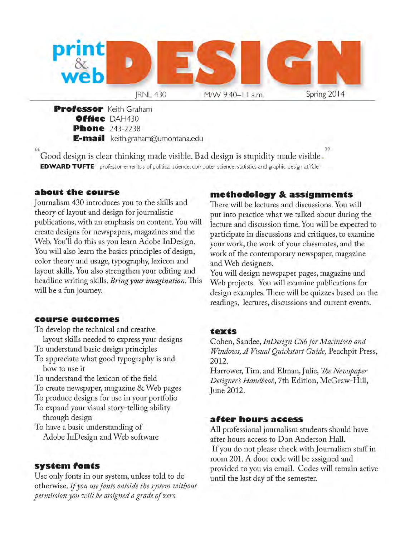

**Professor** Keith Graham **O ffice** DAH430 **Phone** 243-2238 **E-mail** keith.graham@umontana.edu

*a »* Good design is clear thinking made visible. Bad design is stupidity made visible EDWARD TUFTE professor emeritus of political science, computer science, statistics and graphic design at Yale

## **about the course**

Journalism 430 introduces you to the skills and theory of layout and design for journalistic publications, with an emphasis on content. You will create designs for newspapers, magazines and the Web. You'll do this as you learn Adobe InDesign. You will also learn the basics principles of design, color theory and usage, typography, lexicon and layout skills. You also strengthen your editing and headline writing skills. *Bring your imagination.* This will be a fun journey.

## **co u rse o u tco m es**

To develop the technical and creative

layout skills needed to express your designs To understand basic design principles

To appreciate what good typography is and how to use it

To understand the lexicon of the field

To create newspaper, magazine & Web pages

To produce designs for use in your portfolio

To expand your visual story-telling ability through design

To have a basic understanding of Adobe InDesign and Web software

## **system fonts**

Use only fonts in our system, unless told to do otherwise. If you use fonts outside the system without *permission you will be assigned a grade of zero.*

## **m eth o d o lo g y & a ssig n m en ts**

There will be lectures and discussions. You will put into practice what we talked about during the lecture and discussion time. You will be expected to participate in discussions and critiques, to examine your work, the work of your classmates, and the work of the contemporary newspaper, magazine and Web designers.

You will design newspaper pages, magazine and Web projects. You will examine publications for design examples. There will be quizzes based on the readings, lectures, discussions and current events.

## **t e x t s**

Cohen, Sandee, *InDesign CS6 for Macintosh and Windows, A Visual Quickstart Guide,* Peachpit Press, 2012**.**

Harrower, Tim, and Elman, Julie, *The Newspaper Designers Handbook*, 7th Edition, McGraw-Hill, June 2012.

## **after hours access**

All professional journalism students should have after hours access to Don Anderson Hall. If you do not please check with Journalism staff in room 201. A door code will be assigned and provided to you via email. Codes will remain active until the last day of the semester.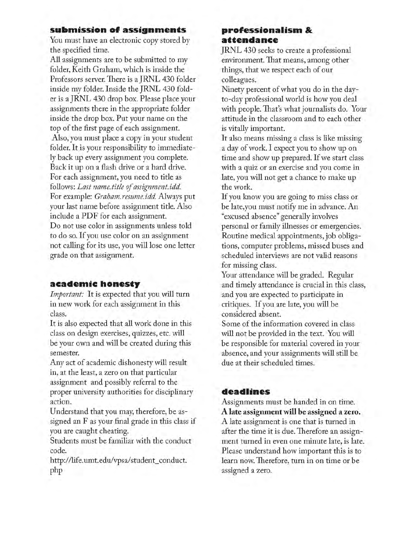## submission of assignments

You must have an electronic copy stored by the specified time.

All assignments are to be submitted to my folder, Keith Graham, which is inside the Professors server. There is a JRNL 430 folder inside my folder. Inside the JRNL 430 folder is a JRNL 430 drop box. Please place your assignments there in the appropriate folder inside the drop box. Put your name on the top of the first page of each assignment. Also, you must place a copy in your student folder. It is your responsibility to immediately back up every assignment you complete. Back it up on a flash drive or a hard drive. For each assignment, you need to title as follows: *Last name, title of assignment.idd* For example: *Graham.resume.idd.* Always put your last name before assignment title. Also include a PDF for each assignment.

Do not use color in assignments unless told to do so. If you use color on an assignment not calling for its use, you will lose one letter grade on that assignment.

## **acad em ic h o n esty**

*Important:* It is expected that you will turn in new work for each assignment in this class.

It is also expected that all work done in this class on design exercises, quizzes, etc. will be your own and will be created during this semester.

Any act of academic dishonesty will result in, at the least, a zero on that particular assignment and possibly referral to the proper university authorities for disciplinary action.

Understand that you may, therefore, be assigned an F as your final grade in this class if you are caught cheating.

Students must be familiar with the conduct code.

http://life.umt.edu/vpsa/student\_conduct. php

## **p ro fessio n a lism & a tten d a n ce**

JRNL 430 seeks to create a professional environment. That means, among other things, that we respect each of our colleagues.

Ninety percent of what you do in the dayto-day professional world is how you deal with people. That's what journalists do. Your attitude in the classroom and to each other is vitally important.

It also means missing a class is like missing a day of work. I expect you to show up on time and show up prepared. If we start class with a quiz or an exercise and you come in late, you will not get a chance to make up the work.

If you know you are going to miss class or be late,you must notify me in advance. An "excused absence" generally involves personal or family illnesses or emergencies. Routine medical appointments, job obligations, computer problems, missed buses and scheduled interviews are not valid reasons for missing class.

Your attendance will be graded. Regular and timely attendance is crucial in this class, and you are expected to participate in critiques. If you are late, you will be considered absent.

Some of the information covered in class will not be provided in the text. You will be responsible for material covered in your absence, and your assignments will still be due at their scheduled times.

## **d ea d lin es**

Assignments must be handed in on time. **A late assignment will be assigned a zero.** A late assignment is one that is turned in after the time it is due. Therefore an assignment turned in even one minute late, is late. Please understand how important this is to learn now. Therefore, turn in on time or be assigned a zero.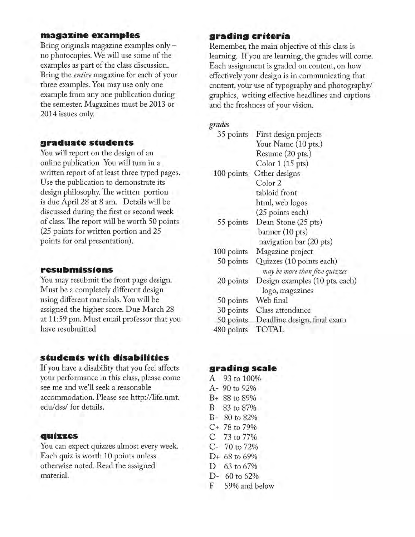## **m agazin e ex a m p les**

Bring originals magazine examples only no photocopies. We will use some of the examples as part of the class discussion. Bring the *entire* magazine for each of your three examples. You may use only one example from any one publication during the semester. Magazines must be 2013 or 2014 issues only.

## graduate students

You will report on the design of an online publication You will turn in a written report of at least three typed pages. Use the publication to demonstrate its design philosophy. The written portion is due April 28 at 8 am. Details will be discussed during the first or second week of class. The report will be worth 50 points  $(25$  points for written portion and  $25$ points for oral presentation).

## **resu b m issio n s** *may be more than five quizzes*

You may resubmit the front page design. Must be a completely different design using different materials. You will be assigned the higher score. Due March 28 at 11:59 pm. Must email professor that you have resubmitted

## **s tu d e n ts w ith d isa b ilities**

If you have a disability that you feel affects **grading scale** your performance in this class, please come  $A$  93 to 100% see me and we'll seek a reasonable  $A-90$  to 92% accommodation. Please see http://life.umt. B+ 88 to 89% edu/dss/ for details. B 83 to 87%

## **quizzes c** 73 to 77%

You can expect quizzes almost every week. C- 70 to 72% Each quiz is worth 10 points unless  $D+68$  to 69% otherwise noted. Read the assigned D 63 to 67% material. D- 60 to 62%

## **grad in g criteria**

Remember, the main objective of this class is learning. If you are learning, the grades will come. Each assignment is graded on content, on how effectively your design is in communicating that content, your use of typography and photography/ graphics, writing effective headlines and captions and the freshness of your vision.

## *grades*

| 35 points  | First design projects          |
|------------|--------------------------------|
|            | Your Name (10 pts.)            |
|            | Resume (20 pts.)               |
|            | Color $1(15$ pts)              |
| 100 points | Other designs                  |
|            | Color 2                        |
|            | tabloid front                  |
|            | html, web logos                |
|            | (25 points each)               |
| 55 points  | Dean Stone (25 pts)            |
|            | banner (10 pts)                |
|            | navigation bar (20 pts)        |
| 100 points | Magazine project               |
| 50 points  | Quizzes (10 points each)       |
|            | may be more than five quizzes  |
| 20 points  | Design examples (10 pts. each) |
|            | logo, magazines                |
| 50 points  | Web final                      |
| 30 points  | Class attendance               |
| 50 points  | Deadline design, final exam    |
| 480 points | TOTAL                          |

- 
- 
- 
- 
- B- 80 to 82%
- C+ 78 to 79%
- 
- 
- 
- 
- 
- F 59% and below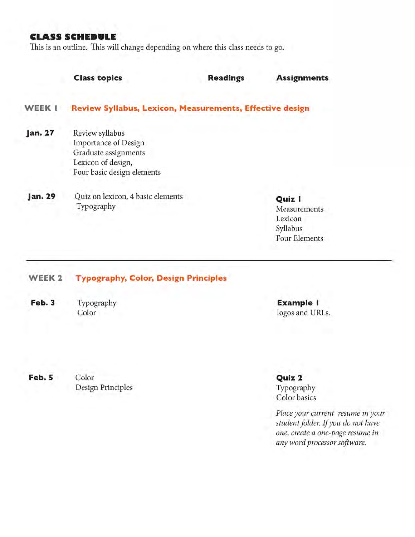## **CLASS SCHEDULE**

This is an outline. This will change depending on where this class needs to go.

|         | <b>Class topics</b>                                                                                                        | <b>Readings</b> | <b>Assignments</b>                                                    |
|---------|----------------------------------------------------------------------------------------------------------------------------|-----------------|-----------------------------------------------------------------------|
| WEEK I  | Review Syllabus, Lexicon, Measurements, Effective design                                                                   |                 |                                                                       |
| Jan. 27 | Review syllabus<br><b>Importance of Design</b><br>Graduate assignments<br>Lexicon of design,<br>Four basic design elements |                 |                                                                       |
| Jan. 29 | Quiz on lexicon, 4 basic elements<br>Typography                                                                            |                 | Quiz I<br>Measurements<br>Lexicon<br>Syllabus<br><b>Four Elements</b> |

### WEEK 2 Typography, Color, Design Principles

Feb. 3

Feb. 5 Color

Design Principles

Typography **Example I** Color logos and URLs.

> Quiz 2 Typography Color basics

*Place your current resume in your* student folder. If you do not have *one, create a one-page resume in any word processor software.*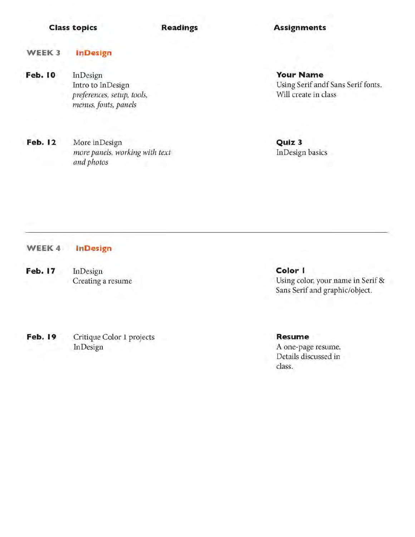## **Class topics Readings Assignments**

### WEEK 3 InD esign

**Feb. 10** InDesign Intro to InDesign *preferences, setup, tools, menus, fonts, panels*

Feb. 12 More inDesign *more panels, working with text and photos*

**Your Name** Using Serif andf Sans Serif fonts. Will create in class

Q uiz 3 InDesign basics

### WEEK 4 InD esign

**Feb. 17** InDesign Creating a resume

Feb. 19 Critique Color 1 projects InDesign

Color I Using color, your name in Serif & Sans Serif and graphic/object.

**Resume** A one-page resume. Details discussed in class.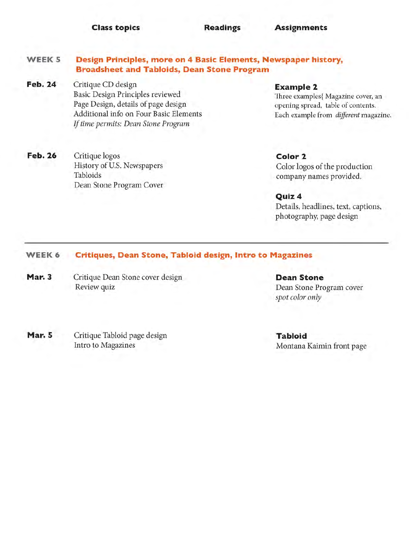**Class to p ics Readings A ssign m en ts**

### WEEK<sub>5</sub> Design Principles, more on 4 Basic Elements, Newspaper history, Broadsheet and Tabloids, Dean Stone Program

- Feb. 24 Critique CD design Basic Design Principles reviewed Page Design, details of page design Additional info on Four Basic Elements If time permits: Dean Stone Program
- **Feb. 26** Critique logos History of U.S. Newspapers Tabloids Dean Stone Program Cover

**Example 2** 

Three examples} Magazine cover, an opening spread, table of contents. Each example from *different* magazine.

Color 2 Color logos of the production company names provided.

Q uiz 4 Details, headlines, text, captions, photography, page design

### WEEK 6 Critiques, Dean Stone, Tabloid design, Intro to Magazines

**Mar. 3** Critique Dean Stone cover design **Dean Stone** Review quiz **Dean Stone Program cover** 

*spot color only*

Mar. 5 Critique Tabloid page design Intro to Magazines

**Tabloid** Montana Kaimin front page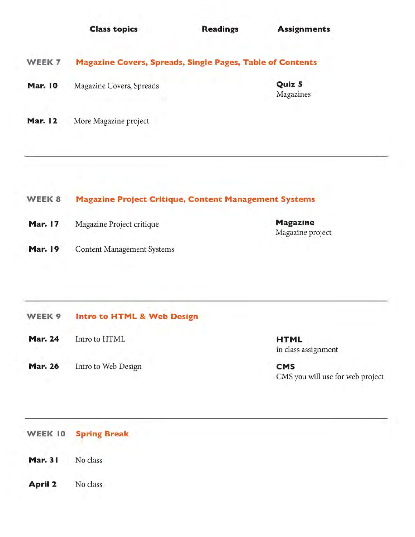|                | <b>Class topics</b>                                              | <b>Readings</b> | <b>Assignments</b>  |  |
|----------------|------------------------------------------------------------------|-----------------|---------------------|--|
| WEEK 7         | <b>Magazine Covers, Spreads, Single Pages, Table of Contents</b> |                 |                     |  |
| <b>Mar. 10</b> | Magazine Covers, Spreads                                         |                 | Quiz 5<br>Magazines |  |
| <b>Mar. 12</b> | More Magazine project                                            |                 |                     |  |

## WEEK 8 Magazine Project Critique, Content Management Systems

- Mar. 17 Magazine Project critique Magazine
- Mar. 19 Content Management Systems

## WEEK 9 Intro to HTML & Web Design

Mar. 24 Intro to HTML **HTML** 

Mar. 26 Intro to Web Design CMS

in class assignment

Magazine project

CMS you will use for web project

WEEK 10 Spring Break

- Mar. 31 No class
- April 2 No class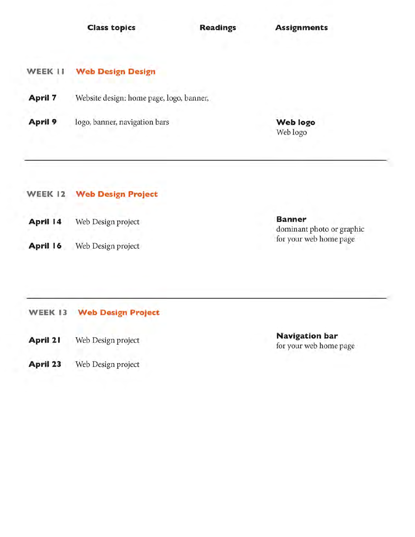**Class topics Readings Assignments** 

## WEEK 11 Web Design Design

- April 7 Website design: home page, logo, banner,
- April 9 logo, banner, navigation bars Web logo

Web logo

|          | <b>WEEK 12 Web Design Project</b> |                           |
|----------|-----------------------------------|---------------------------|
| April 14 | Web Design project                | <b>Banner</b><br>dominant |
| April 16 | Web Design project                | for your v                |

WEEK 13 Web Design Project

- April 21 Web Design project
- April 23 Web Design project

dominant photo or graphic for your web home page

Navigation bar for your web home page